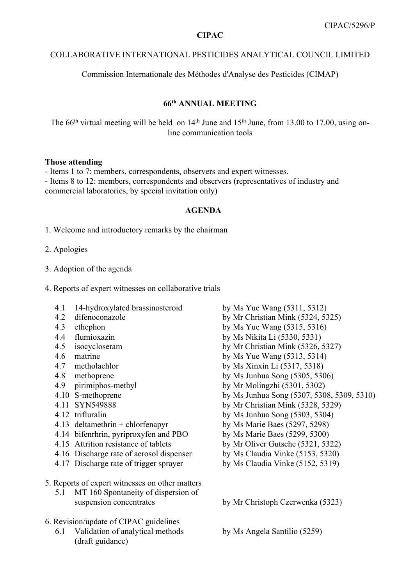### **CIPAC**

#### COLLABORATIVE INTERNATIONAL PESTICIDES ANALYTICAL COUNCIL LIMITED

Commission Internationale des Méthodes d'Analyse des Pesticides (CIMAP)

# **66th ANNUAL MEETING**

The  $66<sup>th</sup>$  virtual meeting will be held on  $14<sup>th</sup>$  June and  $15<sup>th</sup>$  June, from 13.00 to 17.00, using online communication tools

#### **Those attending**

- Items 1 to 7: members, correspondents, observers and expert witnesses. - Items 8 to 12: members, correspondents and observers (representatives of industry and commercial laboratories, by special invitation only)

### **AGENDA**

1. Welcome and introductory remarks by the chairman

- 2. Apologies
- 3. Adoption of the agenda
- 4. Reports of expert witnesses on collaborative trials
	- 4.1 14-hydroxylated brassinosteroid by Ms Yue Wang (5311, 5312)
	-
	-
	-
	-
	-
	-
	-
	-
	-
	-
	-
	-
	- 4.14 bifenrhrin, pyriproxyfen and PBO by Ms Marie Baes (5299, 5300)
	- 4.15 Attrition resistance of tablets by Mr Oliver Gutsche (5321, 5322)
	- 4.16 Discharge rate of aerosol dispenser by Ms Claudia Vinke (5153, 5320)
	- 4.17 Discharge rate of trigger sprayer by Ms Claudia Vinke (5152, 5319)
- 5. Reports of expert witnesses on other matters
	- 5.1 MT 160 Spontaneity of dispersion of suspension concentrates by Mr Christoph Czerwenka (5323)
- 6. Revision/update of CIPAC guidelines
	- 6.1 Validation of analytical methods by Ms Angela Santilio (5259) (draft guidance)
- 4.2 difenoconazole by Mr Christian Mink (5324, 5325) 4.3 ethephon by Ms Yue Wang (5315, 5316) 4.4 flumioxazin by Ms Nikita Li (5330, 5331) 4.5 isocycloseram by Mr Christian Mink (5326, 5327) 4.6 matrine by Ms Yue Wang (5313, 5314) 4.7 metholachlor by Ms Xinxin Li (5317, 5318) 4.8 methoprene by Ms Junhua Song (5305, 5306) 4.9 pirimiphos-methyl by Mr Molingzhi (5301, 5302) 4.10 S-methoprene by Ms Junhua Song (5307, 5308, 5309, 5310) 4.11 SYN549888 by Mr Christian Mink (5328, 5329) 4.12 trifluralin by Ms Junhua Song (5303, 5304) 4.13 deltamethrin + chlorfenapyr by Ms Marie Baes (5297, 5298)